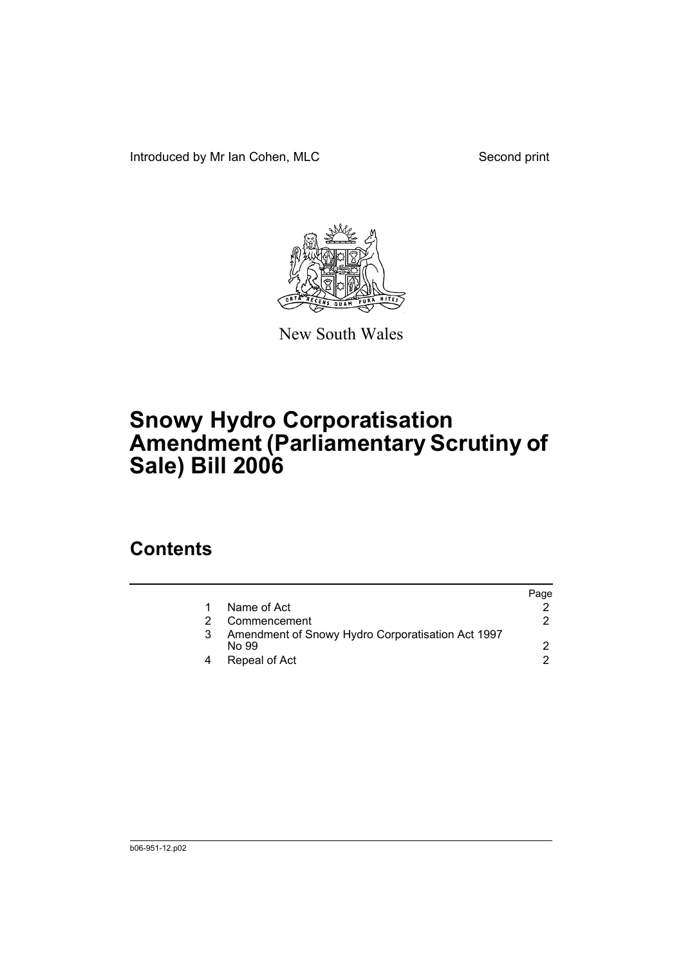Introduced by Mr Ian Cohen, MLC Second print



New South Wales

## **Snowy Hydro Corporatisation Amendment (Parliamentary Scrutiny of Sale) Bill 2006**

## **Contents**

| Page |
|------|
|      |
|      |
|      |
|      |
|      |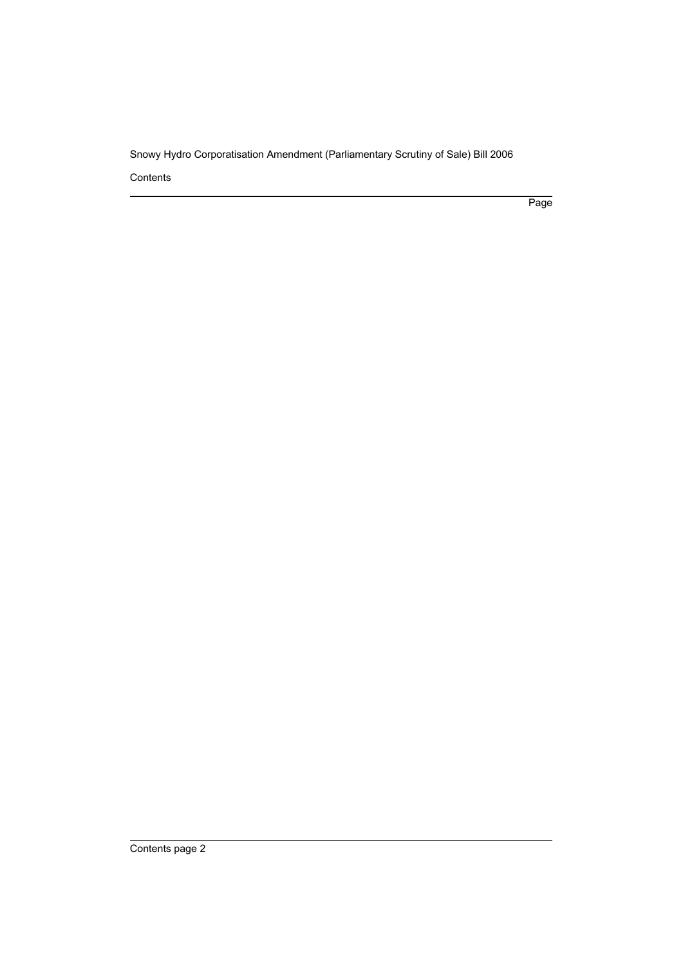Snowy Hydro Corporatisation Amendment (Parliamentary Scrutiny of Sale) Bill 2006

Contents

Page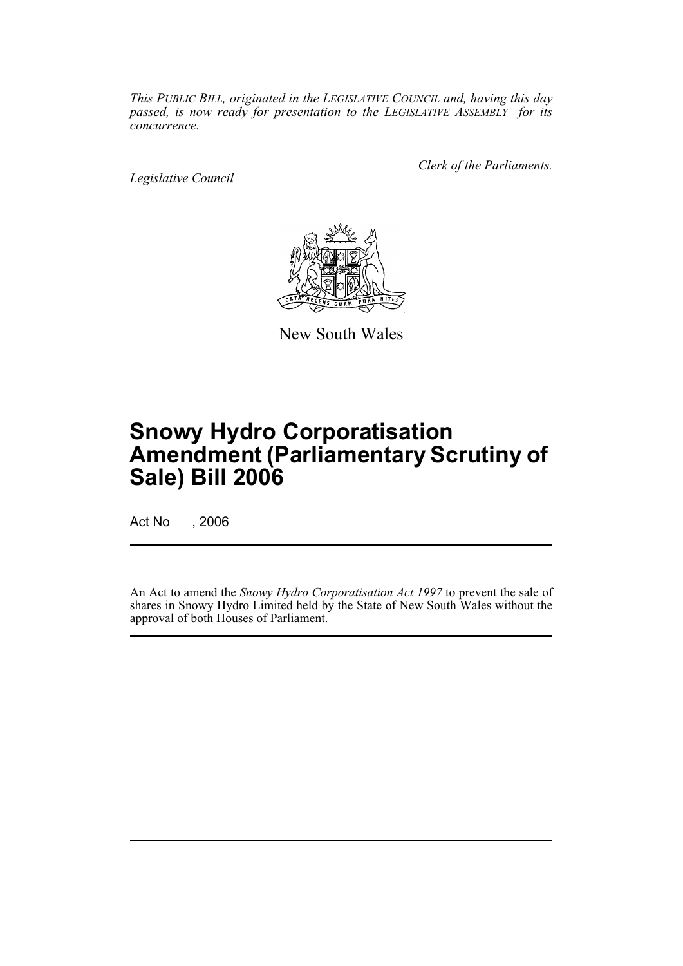*This PUBLIC BILL, originated in the LEGISLATIVE COUNCIL and, having this day passed, is now ready for presentation to the LEGISLATIVE ASSEMBLY for its concurrence.*

*Legislative Council*

*Clerk of the Parliaments.*



New South Wales

## **Snowy Hydro Corporatisation Amendment (Parliamentary Scrutiny of Sale) Bill 2006**

Act No , 2006

An Act to amend the *Snowy Hydro Corporatisation Act 1997* to prevent the sale of shares in Snowy Hydro Limited held by the State of New South Wales without the approval of both Houses of Parliament.